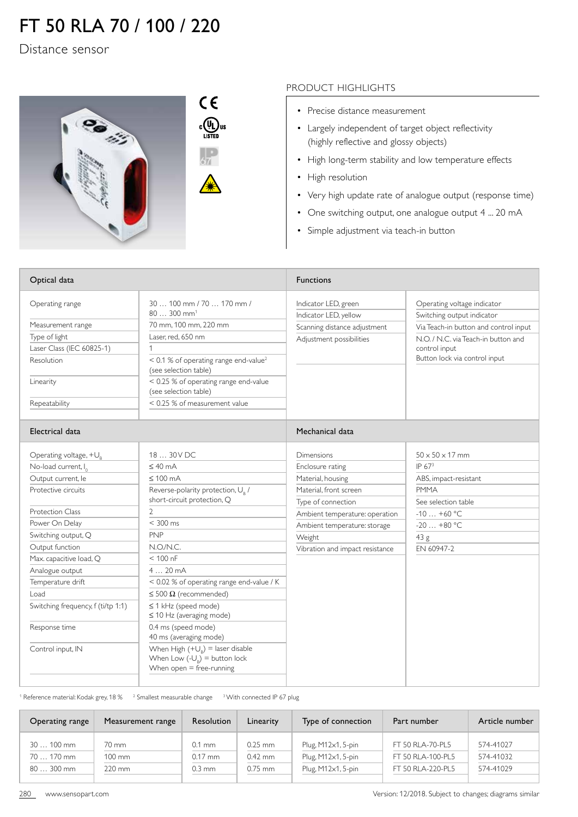## FT 50 RLA 70 / 100 / 220

Distance sensor



## PRODUCT HIGHLIGHTS

- Precise distance measurement
- Largely independent of target object reflectivity (highly reflective and glossy objects)
- High long-term stability and low temperature effects
- High resolution
- Very high update rate of analogue output (response time)
- One switching output, one analogue output 4 ... 20 mA
- Simple adjustment via teach-in button

| Optical data                                                                                                                   |                                                                                                                                                                                                                                                                                             | <b>Functions</b>                                                                                          |                                                                                                                                                                                             |  |
|--------------------------------------------------------------------------------------------------------------------------------|---------------------------------------------------------------------------------------------------------------------------------------------------------------------------------------------------------------------------------------------------------------------------------------------|-----------------------------------------------------------------------------------------------------------|---------------------------------------------------------------------------------------------------------------------------------------------------------------------------------------------|--|
| Operating range<br>Measurement range<br>Type of light<br>Laser Class (IEC 60825-1)<br>Resolution<br>Linearity<br>Repeatability | 30  100 mm / 70  170 mm /<br>$80300$ mm <sup>1</sup><br>70 mm, 100 mm, 220 mm<br>Laser. red. 650 nm<br>1<br>$< 0.1$ % of operating range end-value <sup>2</sup><br>(see selection table)<br>< 0.25 % of operating range end-value<br>(see selection table)<br>< 0.25 % of measurement value | Indicator LED, green<br>Indicator LED, yellow<br>Scanning distance adjustment<br>Adjustment possibilities | Operating voltage indicator<br>Switching output indicator<br>Via Teach-in button and control input<br>N.O. / N.C. via Teach-in button and<br>control input<br>Button lock via control input |  |
| Electrical data                                                                                                                |                                                                                                                                                                                                                                                                                             | Mechanical data                                                                                           |                                                                                                                                                                                             |  |
| Operating voltage, $+U_R$                                                                                                      | $1830V$ DC.                                                                                                                                                                                                                                                                                 | Dimensions                                                                                                | $50 \times 50 \times 17$ mm                                                                                                                                                                 |  |
| No-load current, I <sub>0</sub>                                                                                                | $\leq 40$ mA                                                                                                                                                                                                                                                                                | Enclosure rating                                                                                          | IP 673                                                                                                                                                                                      |  |
| Output current, le                                                                                                             | $\leq 100$ mA                                                                                                                                                                                                                                                                               | Material, housing                                                                                         | ABS, impact-resistant                                                                                                                                                                       |  |
| Protective circuits                                                                                                            | Reverse-polarity protection, U <sub>2</sub> /                                                                                                                                                                                                                                               | Material, front screen                                                                                    | <b>PMMA</b>                                                                                                                                                                                 |  |
|                                                                                                                                | short-circuit protection, Q                                                                                                                                                                                                                                                                 | Type of connection                                                                                        | See selection table                                                                                                                                                                         |  |
| Protection Class                                                                                                               | $\mathcal{P}$                                                                                                                                                                                                                                                                               | Ambient temperature: operation                                                                            | $-10+60$ °C                                                                                                                                                                                 |  |
| Power On Delay                                                                                                                 | $< 300$ ms                                                                                                                                                                                                                                                                                  | Ambient temperature: storage                                                                              | $-20+80$ °C                                                                                                                                                                                 |  |
| Switching output, Q                                                                                                            | <b>PNP</b>                                                                                                                                                                                                                                                                                  | Weight                                                                                                    | 43 g                                                                                                                                                                                        |  |
| Output function                                                                                                                | N.O/N.C.                                                                                                                                                                                                                                                                                    | Vibration and impact resistance                                                                           | EN 60947-2                                                                                                                                                                                  |  |
| Max. capacitive load, Q                                                                                                        | $< 100$ nF                                                                                                                                                                                                                                                                                  |                                                                                                           |                                                                                                                                                                                             |  |
| Analogue output                                                                                                                | $420 \text{ mA}$                                                                                                                                                                                                                                                                            |                                                                                                           |                                                                                                                                                                                             |  |
| Temperature drift                                                                                                              | < 0.02 % of operating range end-value / K                                                                                                                                                                                                                                                   |                                                                                                           |                                                                                                                                                                                             |  |
| Load                                                                                                                           | $\leq$ 500 $\Omega$ (recommended)                                                                                                                                                                                                                                                           |                                                                                                           |                                                                                                                                                                                             |  |
| Switching frequency, f (ti/tp 1:1)                                                                                             | $\leq$ 1 kHz (speed mode)<br>$\leq$ 10 Hz (averaging mode)                                                                                                                                                                                                                                  |                                                                                                           |                                                                                                                                                                                             |  |
| Response time                                                                                                                  | 0.4 ms (speed mode)<br>40 ms (averaging mode)                                                                                                                                                                                                                                               |                                                                                                           |                                                                                                                                                                                             |  |
| Control input, IN                                                                                                              | When High $(+\cup_{\circ})$ = laser disable<br>When Low $(-U_{n})$ = button lock<br>When $open = free-running$                                                                                                                                                                              |                                                                                                           |                                                                                                                                                                                             |  |

 $^{\rm 1}$  Reference material: Kodak grey, 18  $\%$   $^{-2}$  Smallest measurable change  $^{-3}$  With connected IP 67 plug

| Operating range | Measurement range | <b>Resolution</b> | Linearity | Type of connection | Part number       | Article number |
|-----------------|-------------------|-------------------|-----------|--------------------|-------------------|----------------|
| $30100$ mm      | 70 mm             | $0.1$ mm          | $0.25$ mm | Plug, M12x1, 5-pin | FT 50 RLA-70-PL5  | 574-41027      |
| 70  170 mm      | $100 \text{ mm}$  | $0.17$ mm         | $0.42$ mm | Plug, M12x1, 5-pin | FT 50 RLA-100-PL5 | 574-41032      |
| $80300$ mm      | 220 mm            | $0.3 \text{ mm}$  | $0.75$ mm | Plug, M12x1, 5-pin | FT 50 RLA-220-PL5 | 574-41029      |